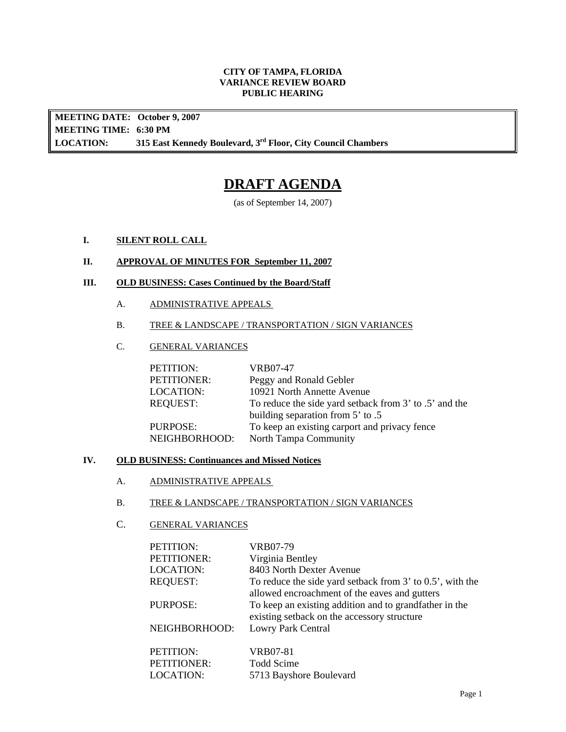#### **CITY OF TAMPA, FLORIDA VARIANCE REVIEW BOARD PUBLIC HEARING**

**MEETING DATE: October 9, 2007 MEETING TIME: 6:30 PM LOCATION: 315 East Kennedy Boulevard, 3rd Floor, City Council Chambers** 

# **DRAFT AGENDA**

(as of September 14, 2007)

# **I. SILENT ROLL CALL**

### **II. APPROVAL OF MINUTES FOR September 11, 2007**

# **III. OLD BUSINESS: Cases Continued by the Board/Staff**

- A. ADMINISTRATIVE APPEALS
- B. TREE & LANDSCAPE / TRANSPORTATION / SIGN VARIANCES
- C. GENERAL VARIANCES

| PETITION:       | VRB07-47                                               |
|-----------------|--------------------------------------------------------|
| PETITIONER:     | Peggy and Ronald Gebler                                |
| LOCATION:       | 10921 North Annette Avenue                             |
| <b>REQUEST:</b> | To reduce the side yard setback from 3' to .5' and the |
|                 | building separation from 5' to .5                      |
| PURPOSE:        | To keep an existing carport and privacy fence          |
| NEIGHBORHOOD:   | North Tampa Community                                  |

#### **IV. OLD BUSINESS: Continuances and Missed Notices**

- A. ADMINISTRATIVE APPEALS
- B. TREE & LANDSCAPE / TRANSPORTATION / SIGN VARIANCES

# C. GENERAL VARIANCES

| PETITION:        | VRB07-79                                                                                                        |
|------------------|-----------------------------------------------------------------------------------------------------------------|
| PETITIONER:      | Virginia Bentley                                                                                                |
| <b>LOCATION:</b> | 8403 North Dexter Avenue                                                                                        |
| <b>REQUEST:</b>  | To reduce the side yard setback from $3'$ to $0.5'$ , with the<br>allowed encroachment of the eaves and gutters |
| PURPOSE:         | To keep an existing addition and to grandfather in the<br>existing setback on the accessory structure           |
| NEIGHBORHOOD:    | Lowry Park Central                                                                                              |
| PETITION:        | <b>VRB07-81</b>                                                                                                 |
| PETITIONER:      | Todd Scime                                                                                                      |
| <b>LOCATION:</b> | 5713 Bayshore Boulevard                                                                                         |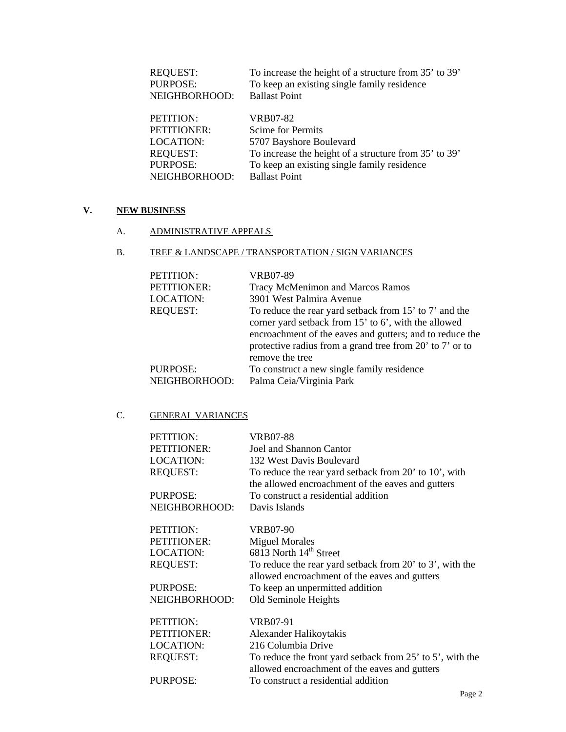| To increase the height of a structure from 35' to 39' |
|-------------------------------------------------------|
| To keep an existing single family residence           |
| <b>Ballast Point</b>                                  |
| VRB07-82                                              |
| Scime for Permits                                     |
| 5707 Bayshore Boulevard                               |
| To increase the height of a structure from 35' to 39' |
| To keep an existing single family residence           |
| <b>Ballast Point</b>                                  |
|                                                       |

# **V. NEW BUSINESS**

A. ADMINISTRATIVE APPEALS

### B. TREE & LANDSCAPE / TRANSPORTATION / SIGN VARIANCES

| PETITION:<br>PETITIONER: | VRB07-89<br>Tracy McMenimon and Marcos Ramos                                                                                                                                                                                                              |
|--------------------------|-----------------------------------------------------------------------------------------------------------------------------------------------------------------------------------------------------------------------------------------------------------|
| <b>LOCATION:</b>         | 3901 West Palmira Avenue                                                                                                                                                                                                                                  |
| <b>REQUEST:</b>          | To reduce the rear yard setback from 15' to 7' and the<br>corner yard setback from 15' to 6', with the allowed<br>encroachment of the eaves and gutters; and to reduce the<br>protective radius from a grand tree from 20' to 7' or to<br>remove the tree |
| <b>PURPOSE:</b>          | To construct a new single family residence                                                                                                                                                                                                                |
| NEIGHBORHOOD:            | Palma Ceia/Virginia Park                                                                                                                                                                                                                                  |

# C. **GENERAL VARIANCES**

| PETITION:        | VRB07-88                                                       |
|------------------|----------------------------------------------------------------|
| PETITIONER:      | Joel and Shannon Cantor                                        |
| <b>LOCATION:</b> | 132 West Davis Boulevard                                       |
| <b>REQUEST:</b>  | To reduce the rear yard setback from 20' to 10', with          |
|                  | the allowed encroachment of the eaves and gutters              |
| <b>PURPOSE:</b>  | To construct a residential addition                            |
| NEIGHBORHOOD:    | Davis Islands                                                  |
| PETITION:        | VRB07-90                                                       |
| PETITIONER:      | <b>Miguel Morales</b>                                          |
| <b>LOCATION:</b> | 6813 North 14 <sup>th</sup> Street                             |
| <b>REQUEST:</b>  | To reduce the rear yard setback from 20' to 3', with the       |
|                  | allowed encroachment of the eaves and gutters                  |
| PURPOSE:         | To keep an unpermitted addition                                |
| NEIGHBORHOOD:    | Old Seminole Heights                                           |
| PETITION:        | VRB07-91                                                       |
| PETITIONER:      | Alexander Halikoytakis                                         |
| <b>LOCATION:</b> | 216 Columbia Drive                                             |
| <b>REQUEST:</b>  | To reduce the front yard setback from $25'$ to $5'$ , with the |
|                  | allowed encroachment of the eaves and gutters                  |
| PURPOSE:         | To construct a residential addition                            |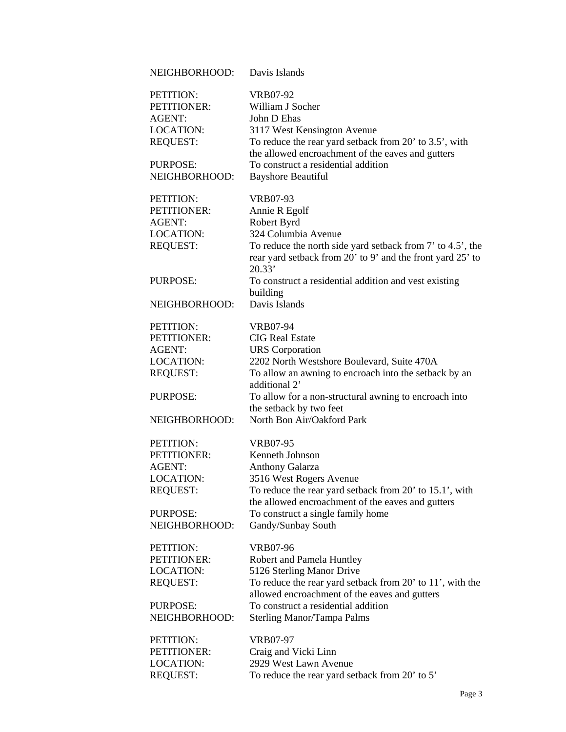| NEIGHBORHOOD:    | Davis Islands                                              |
|------------------|------------------------------------------------------------|
| PETITION:        | <b>VRB07-92</b>                                            |
| PETITIONER:      | William J Socher                                           |
| <b>AGENT:</b>    | John D Ehas                                                |
| <b>LOCATION:</b> | 3117 West Kensington Avenue                                |
| <b>REQUEST:</b>  | To reduce the rear yard setback from 20' to 3.5', with     |
|                  | the allowed encroachment of the eaves and gutters          |
| <b>PURPOSE:</b>  | To construct a residential addition                        |
| NEIGHBORHOOD:    | <b>Bayshore Beautiful</b>                                  |
|                  |                                                            |
| PETITION:        | <b>VRB07-93</b>                                            |
| PETITIONER:      | Annie R Egolf                                              |
| <b>AGENT:</b>    | Robert Byrd                                                |
| <b>LOCATION:</b> | 324 Columbia Avenue                                        |
| <b>REQUEST:</b>  | To reduce the north side yard setback from 7' to 4.5', the |
|                  | rear yard setback from 20' to 9' and the front yard 25' to |
|                  | 20.33'                                                     |
| <b>PURPOSE:</b>  | To construct a residential addition and vest existing      |
|                  | building                                                   |
| NEIGHBORHOOD:    | Davis Islands                                              |
| PETITION:        | <b>VRB07-94</b>                                            |
| PETITIONER:      | <b>CIG</b> Real Estate                                     |
| <b>AGENT:</b>    | <b>URS</b> Corporation                                     |
| <b>LOCATION:</b> | 2202 North Westshore Boulevard, Suite 470A                 |
| <b>REQUEST:</b>  | To allow an awning to encroach into the setback by an      |
|                  | additional 2'                                              |
| <b>PURPOSE:</b>  | To allow for a non-structural awning to encroach into      |
|                  | the setback by two feet                                    |
| NEIGHBORHOOD:    | North Bon Air/Oakford Park                                 |
| PETITION:        | <b>VRB07-95</b>                                            |
| PETITIONER:      | Kenneth Johnson                                            |
| <b>AGENT:</b>    | <b>Anthony Galarza</b>                                     |
| LOCATION:        | 3516 West Rogers Avenue                                    |
| <b>REQUEST:</b>  | To reduce the rear yard setback from 20' to 15.1', with    |
|                  | the allowed encroachment of the eaves and gutters          |
| PURPOSE:         | To construct a single family home                          |
| NEIGHBORHOOD:    | Gandy/Sunbay South                                         |
| PETITION:        | <b>VRB07-96</b>                                            |
| PETITIONER:      | Robert and Pamela Huntley                                  |
| <b>LOCATION:</b> | 5126 Sterling Manor Drive                                  |
| <b>REQUEST:</b>  | To reduce the rear yard setback from 20' to 11', with the  |
|                  | allowed encroachment of the eaves and gutters              |
| PURPOSE:         | To construct a residential addition                        |
| NEIGHBORHOOD:    | <b>Sterling Manor/Tampa Palms</b>                          |
|                  |                                                            |
| PETITION:        | <b>VRB07-97</b>                                            |
| PETITIONER:      | Craig and Vicki Linn                                       |
| <b>LOCATION:</b> | 2929 West Lawn Avenue                                      |
| <b>REQUEST:</b>  | To reduce the rear yard setback from 20' to 5'             |